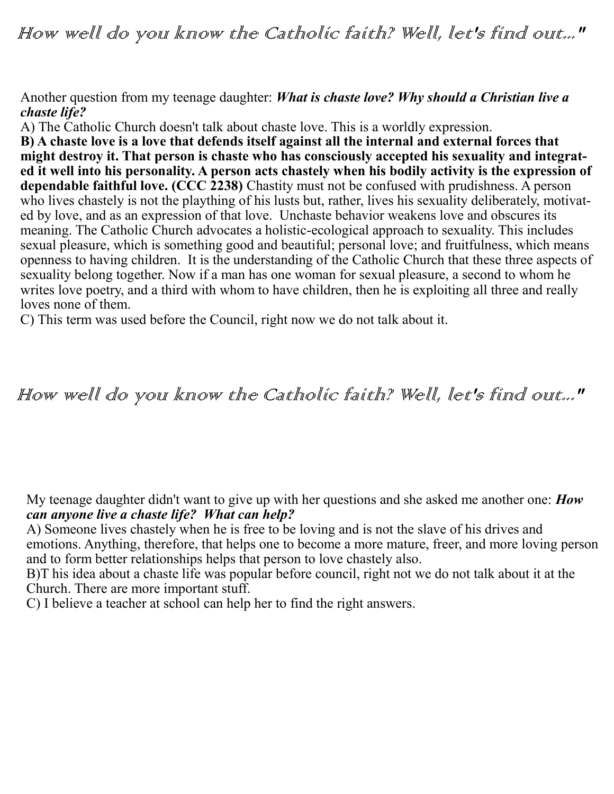How well do you know the Catholic faith? Well, let's find out..."

## Another question from my teenage daughter: *What is chaste love? Why should a Christian live a chaste life?*

A) The Catholic Church doesn't talk about chaste love. This is a worldly expression.

**B) A chaste love is a love that defends itself against all the internal and external forces that might destroy it. That person is chaste who has consciously accepted his sexuality and integrated it well into his personality. A person acts chastely when his bodily activity is the expression of dependable faithful love. (CCC 2238)** Chastity must not be confused with prudishness. A person who lives chastely is not the plaything of his lusts but, rather, lives his sexuality deliberately, motivated by love, and as an expression of that love. Unchaste behavior weakens love and obscures its meaning. The Catholic Church advocates a holistic-ecological approach to sexuality. This includes sexual pleasure, which is something good and beautiful; personal love; and fruitfulness, which means openness to having children. It is the understanding of the Catholic Church that these three aspects of sexuality belong together. Now if a man has one woman for sexual pleasure, a second to whom he writes love poetry, and a third with whom to have children, then he is exploiting all three and really loves none of them.

C) This term was used before the Council, right now we do not talk about it.

## How well do you know the Catholic faith? Well, let's find out..."

My teenage daughter didn't want to give up with her questions and she asked me another one: *How can anyone live a chaste life? What can help?*

A) Someone lives chastely when he is free to be loving and is not the slave of his drives and emotions. Anything, therefore, that helps one to become a more mature, freer, and more loving person and to form better relationships helps that person to love chastely also.

B)T his idea about a chaste life was popular before council, right not we do not talk about it at the Church. There are more important stuff.

C) I believe a teacher at school can help her to find the right answers.